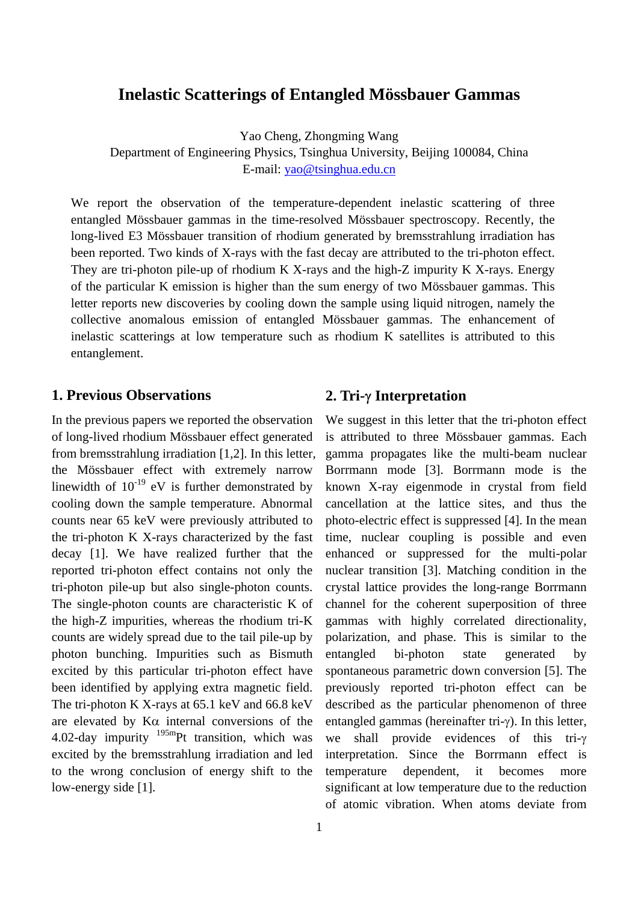# **Inelastic Scatterings of Entangled Mössbauer Gammas**

Yao Cheng, Zhongming Wang

Department of Engineering Physics, Tsinghua University, Beijing 100084, China E-mail: [yao@tsinghua.edu.cn](mailto:yao@tsinghua.edu.cn)

We report the observation of the temperature-dependent inelastic scattering of three entangled Mössbauer gammas in the time-resolved Mössbauer spectroscopy. Recently, the long-lived E3 Mössbauer transition of rhodium generated by bremsstrahlung irradiation has been reported. Two kinds of X-rays with the fast decay are attributed to the tri-photon effect. They are tri-photon pile-up of rhodium K X-rays and the high-Z impurity K X-rays. Energy of the particular K emission is higher than the sum energy of two Mössbauer gammas. This letter reports new discoveries by cooling down the sample using liquid nitrogen, namely the collective anomalous emission of entangled Mössbauer gammas. The enhancement of inelastic scatterings at low temperature such as rhodium K satellites is attributed to this entanglement.

### **1. Previous Observations**

In the previous papers we reported the observation of long-lived rhodium Mössbauer effect generated from bremsstrahlung irradiation [1,2]. In this letter, the Mössbauer effect with extremely narrow linewidth of  $10^{-19}$  eV is further demonstrated by cooling down the sample temperature. Abnormal counts near 65 keV were previously attributed to the tri-photon K X-rays characterized by the fast decay [1]. We have realized further that the reported tri-photon effect contains not only the tri-photon pile-up but also single-photon counts. The single-photon counts are characteristic K of the high-Z impurities, whereas the rhodium tri-K counts are widely spread due to the tail pile-up by photon bunching. Impurities such as Bismuth excited by this particular tri-photon effect have been identified by applying extra magnetic field. The tri-photon K X-rays at 65.1 keV and 66.8 keV are elevated by  $K\alpha$  internal conversions of the 4.02-day impurity  $195$ <sup>m</sup>Pt transition, which was excited by the bremsstrahlung irradiation and led to the wrong conclusion of energy shift to the low-energy side [1].

#### **2. Tri-**γ **Interpretation**

We suggest in this letter that the tri-photon effect is attributed to three Mössbauer gammas. Each gamma propagates like the multi-beam nuclear Borrmann mode [3]. Borrmann mode is the known X-ray eigenmode in crystal from field cancellation at the lattice sites, and thus the photo-electric effect is suppressed [4]. In the mean time, nuclear coupling is possible and even enhanced or suppressed for the multi-polar nuclear transition [3]. Matching condition in the crystal lattice provides the long-range Borrmann channel for the coherent superposition of three gammas with highly correlated directionality, polarization, and phase. This is similar to the entangled bi-photon state generated by spontaneous parametric down conversion [5]. The previously reported tri-photon effect can be described as the particular phenomenon of three entangled gammas (hereinafter tri-γ). In this letter, we shall provide evidences of this tri-γ interpretation. Since the Borrmann effect is temperature dependent, it becomes more significant at low temperature due to the reduction of atomic vibration. When atoms deviate from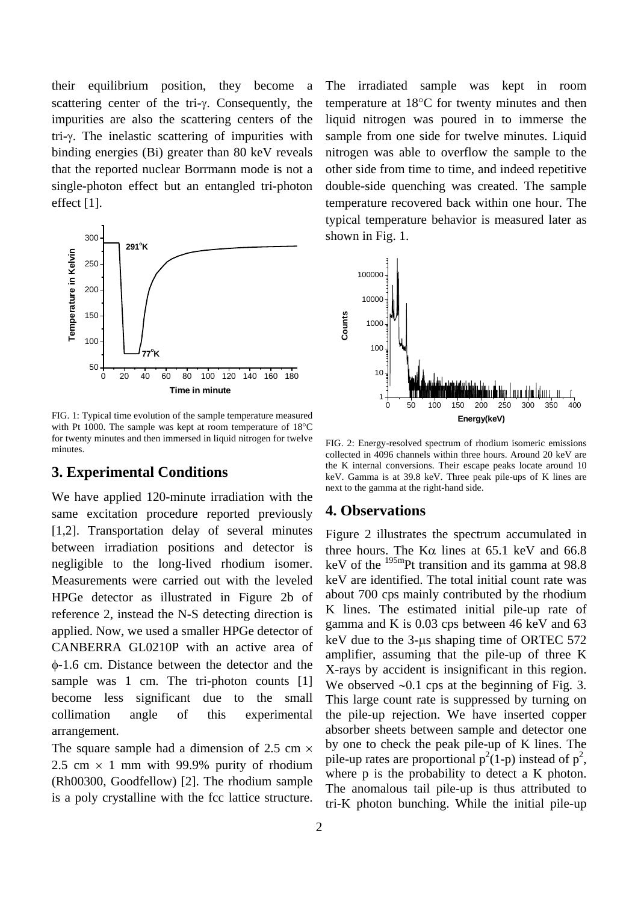their equilibrium position, they become a scattering center of the tri-γ. Consequently, the impurities are also the scattering centers of the tri-γ. The inelastic scattering of impurities with binding energies (Bi) greater than 80 keV reveals that the reported nuclear Borrmann mode is not a single-photon effect but an entangled tri-photon effect [1].



FIG. 1: Typical time evolution of the sample temperature measured with Pt 1000. The sample was kept at room temperature of 18°C for twenty minutes and then immersed in liquid nitrogen for twelve minutes.

#### **3. Experimental Conditions**

We have applied 120-minute irradiation with the same excitation procedure reported previously [1,2]. Transportation delay of several minutes between irradiation positions and detector is negligible to the long-lived rhodium isomer. Measurements were carried out with the leveled HPGe detector as illustrated in Figure 2b of reference 2, instead the N-S detecting direction is applied. Now, we used a smaller HPGe detector of CANBERRA GL0210P with an active area of φ-1.6 cm. Distance between the detector and the sample was 1 cm. The tri-photon counts [1] become less significant due to the small collimation angle of this experimental arrangement.

The square sample had a dimension of 2.5 cm  $\times$ 2.5 cm  $\times$  1 mm with 99.9% purity of rhodium (Rh00300, Goodfellow) [2]. The rhodium sample is a poly crystalline with the fcc lattice structure. The irradiated sample was kept in room temperature at 18°C for twenty minutes and then liquid nitrogen was poured in to immerse the sample from one side for twelve minutes. Liquid nitrogen was able to overflow the sample to the other side from time to time, and indeed repetitive double-side quenching was created. The sample temperature recovered back within one hour. The typical temperature behavior is measured later as shown in Fig. 1.



FIG. 2: Energy-resolved spectrum of rhodium isomeric emissions collected in 4096 channels within three hours. Around 20 keV are the K internal conversions. Their escape peaks locate around 10 keV. Gamma is at 39.8 keV. Three peak pile-ups of K lines are next to the gamma at the right-hand side.

#### **4. Observations**

Figure 2 illustrates the spectrum accumulated in three hours. The K $\alpha$  lines at 65.1 keV and 66.8 keV of the  $^{195m}$ Pt transition and its gamma at 98.8 keV are identified. The total initial count rate was about 700 cps mainly contributed by the rhodium K lines. The estimated initial pile-up rate of gamma and K is 0.03 cps between 46 keV and 63 keV due to the 3-us shaping time of ORTEC 572 amplifier, assuming that the pile-up of three K X-rays by accident is insignificant in this region. We observed ∼0.1 cps at the beginning of Fig. 3. This large count rate is suppressed by turning on the pile-up rejection. We have inserted copper absorber sheets between sample and detector one by one to check the peak pile-up of K lines. The pile-up rates are proportional  $p^2(1-p)$  instead of  $p^2$ , where p is the probability to detect a K photon. The anomalous tail pile-up is thus attributed to tri-K photon bunching. While the initial pile-up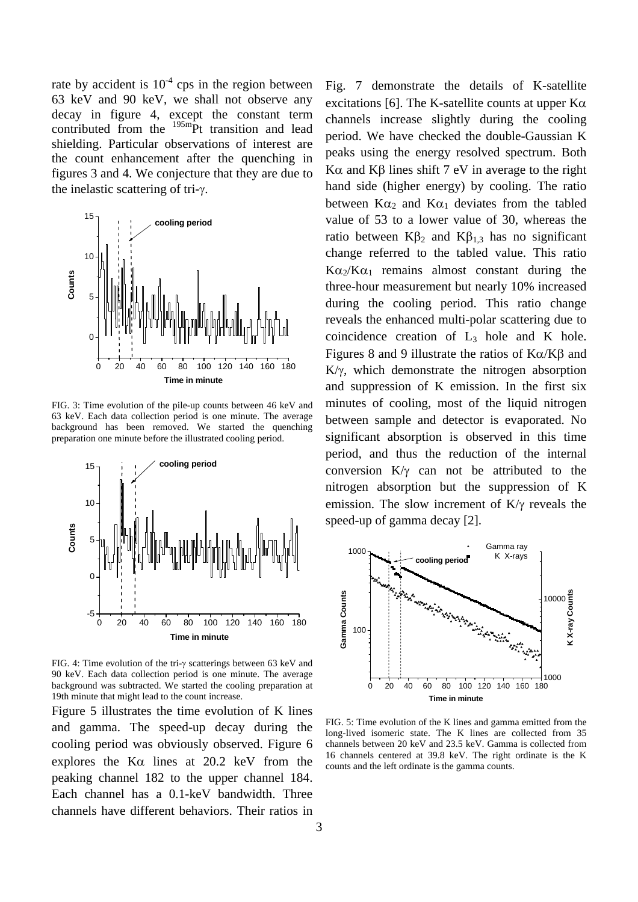rate by accident is  $10^{-4}$  cps in the region between 63 keV and 90 keV, we shall not observe any decay in figure 4, except the constant term contributed from the <sup>195m</sup>Pt transition and lead shielding. Particular observations of interest are the count enhancement after the quenching in figures 3 and 4. We conjecture that they are due to the inelastic scattering of tri-γ.



FIG. 3: Time evolution of the pile-up counts between 46 keV and 63 keV. Each data collection period is one minute. The average background has been removed. We started the quenching preparation one minute before the illustrated cooling period.



FIG. 4: Time evolution of the tri-γ scatterings between 63 keV and 90 keV. Each data collection period is one minute. The average background was subtracted. We started the cooling preparation at 19th minute that might lead to the count increase.

Figure 5 illustrates the time evolution of K lines and gamma. The speed-up decay during the cooling period was obviously observed. Figure 6 explores the Kα lines at 20.2 keV from the peaking channel 182 to the upper channel 184. Each channel has a 0.1-keV bandwidth. Three channels have different behaviors. Their ratios in

Fig. 7 demonstrate the details of K-satellite excitations [6]. The K-satellite counts at upper  $K\alpha$ channels increase slightly during the cooling period. We have checked the double-Gaussian K peaks using the energy resolved spectrum. Both Kα and Kβ lines shift  $7$  eV in average to the right hand side (higher energy) by cooling. The ratio between  $K\alpha_2$  and  $K\alpha_1$  deviates from the tabled value of 53 to a lower value of 30, whereas the ratio between  $Kβ_2$  and  $Kβ_{1,3}$  has no significant change referred to the tabled value. This ratio  $K\alpha_2/K\alpha_1$  remains almost constant during the three-hour measurement but nearly 10% increased during the cooling period. This ratio change reveals the enhanced multi-polar scattering due to coincidence creation of  $L_3$  hole and K hole. Figures 8 and 9 illustrate the ratios of  $K\alpha/K\beta$  and K/γ, which demonstrate the nitrogen absorption and suppression of K emission. In the first six minutes of cooling, most of the liquid nitrogen between sample and detector is evaporated. No significant absorption is observed in this time period, and thus the reduction of the internal conversion K/γ can not be attributed to the nitrogen absorption but the suppression of K emission. The slow increment of K/γ reveals the speed-up of gamma decay [2].



FIG. 5: Time evolution of the K lines and gamma emitted from the long-lived isomeric state. The K lines are collected from 35 channels between 20 keV and 23.5 keV. Gamma is collected from 16 channels centered at 39.8 keV. The right ordinate is the K counts and the left ordinate is the gamma counts.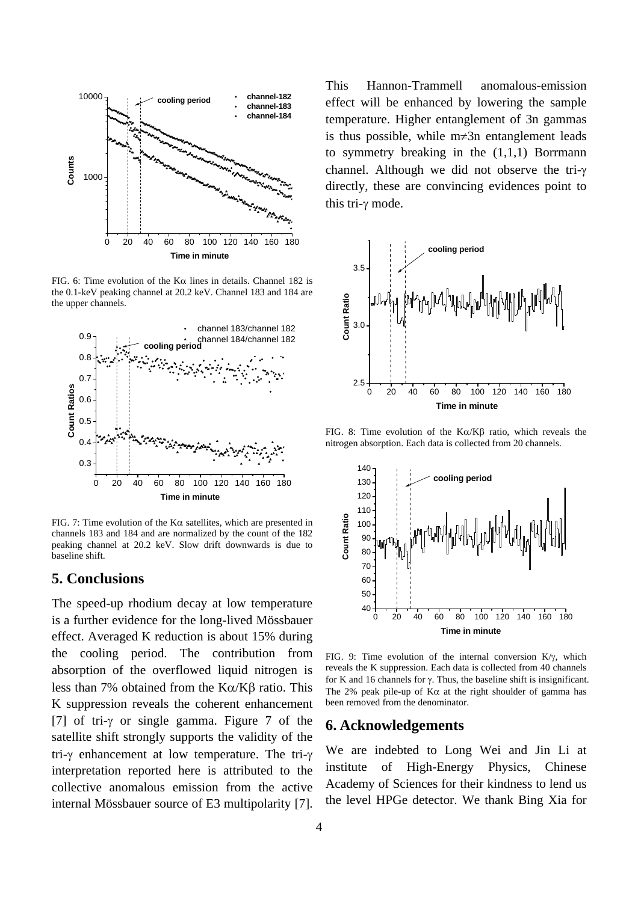

FIG. 6: Time evolution of the K $\alpha$  lines in details. Channel 182 is the 0.1-keV peaking channel at 20.2 keV. Channel 183 and 184 are the upper channels.



FIG. 7: Time evolution of the K $\alpha$  satellites, which are presented in channels 183 and 184 and are normalized by the count of the 182 peaking channel at 20.2 keV. Slow drift downwards is due to baseline shift.

#### **5. Conclusions**

The speed-up rhodium decay at low temperature is a further evidence for the long-lived Mössbauer effect. Averaged K reduction is about 15% during the cooling period. The contribution from absorption of the overflowed liquid nitrogen is less than 7% obtained from the Kα/Kβ ratio. This K suppression reveals the coherent enhancement [7] of tri-γ or single gamma. Figure 7 of the satellite shift strongly supports the validity of the tri-γ enhancement at low temperature. The tri-γ interpretation reported here is attributed to the collective anomalous emission from the active internal Mössbauer source of E3 multipolarity [7].

This Hannon-Trammell anomalous-emission effect will be enhanced by lowering the sample temperature. Higher entanglement of 3n gammas is thus possible, while m≠3n entanglement leads to symmetry breaking in the  $(1,1,1)$  Borrmann channel. Although we did not observe the tri-γ directly, these are convincing evidences point to this tri-γ mode.



FIG. 8: Time evolution of the Kα/Kβ ratio, which reveals the nitrogen absorption. Each data is collected from 20 channels.



FIG. 9: Time evolution of the internal conversion  $K/\gamma$ , which reveals the K suppression. Each data is collected from 40 channels for K and 16 channels for  $\gamma$ . Thus, the baseline shift is insignificant. The 2% peak pile-up of  $K\alpha$  at the right shoulder of gamma has been removed from the denominator.

#### **6. Acknowledgements**

We are indebted to Long Wei and Jin Li at institute of High-Energy Physics, Chinese Academy of Sciences for their kindness to lend us the level HPGe detector. We thank Bing Xia for